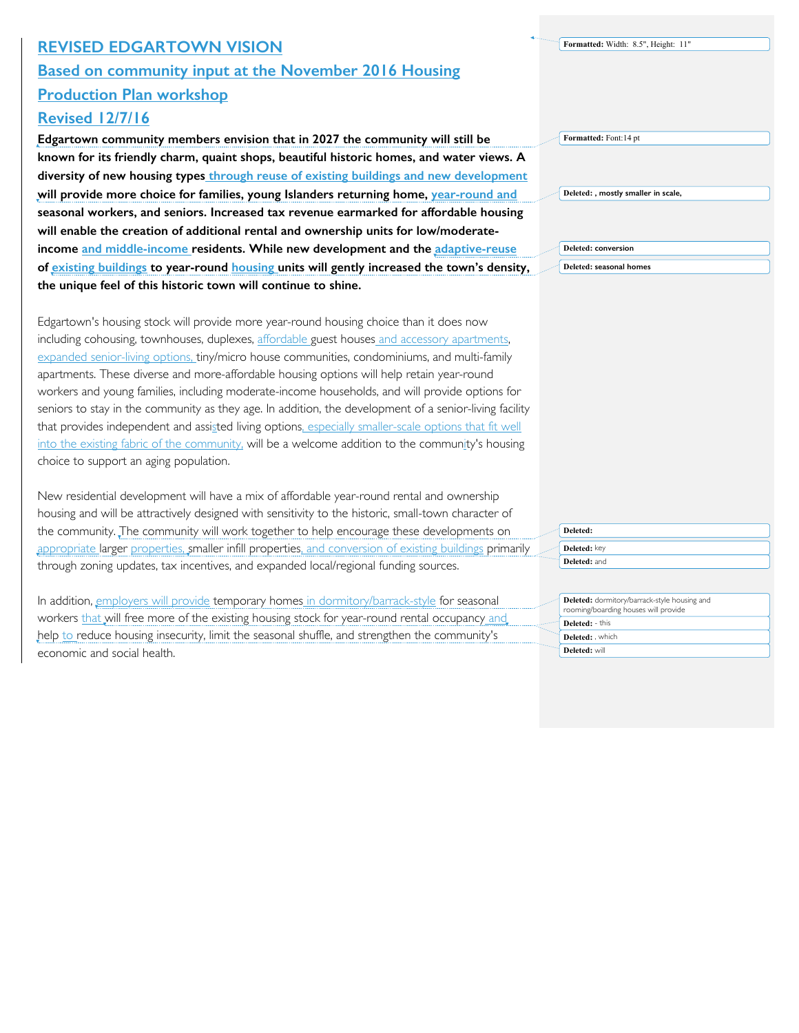## **REVISED EDGARTOWN VISION Based on community input at the November 2016 Housing Production Plan workshop**

## **Revised 12/7/16**

**Edgartown community members envision that in 2027 the community will still be known for its friendly charm, quaint shops, beautiful historic homes, and water views. A diversity of new housing types through reuse of existing buildings and new development will provide more choice for families, young Islanders returning home, year-round and seasonal workers, and seniors. Increased tax revenue earmarked for affordable housing will enable the creation of additional rental and ownership units for low/moderateincome and middle-income residents. While new development and the adaptive-reuse of existing buildings to year-round housing units will gently increased the town's density, the unique feel of this historic town will continue to shine.** 

Edgartown's housing stock will provide more year-round housing choice than it does now including cohousing, townhouses, duplexes, affordable guest houses and accessory apartments, expanded senior-living options, tiny/micro house communities, condominiums, and multi-family apartments. These diverse and more-affordable housing options will help retain year-round workers and young families, including moderate-income households, and will provide options for seniors to stay in the community as they age. In addition, the development of a senior-living facility that provides independent and assisted living options, especially smaller-scale options that fit well into the existing fabric of the community, will be a welcome addition to the community's housing choice to support an aging population.

New residential development will have a mix of affordable year-round rental and ownership housing and will be attractively designed with sensitivity to the historic, small-town character of the community. The community will work together to help encourage these developments on appropriate larger properties, smaller infill properties, and conversion of existing buildings primarily through zoning updates, tax incentives, and expanded local/regional funding sources.

In addition, employers will provide temporary homes in dormitory/barrack-style for seasonal workers that will free more of the existing housing stock for year-round rental occupancy and help to reduce housing insecurity, limit the seasonal shuffle, and strengthen the community's economic and social health.

**Formatted:** Font:14 pt **Deleted: , mostly smaller in scale, Deleted: conversion** 

**Formatted:** Width: 8.5", Height: 11"

**Deleted: seasonal homes**

**Deleted: Deleted:** key **Deleted:** and

| <b>Deleted:</b> dormitory/barrack-style housing and<br>rooming/boarding houses will provide |
|---------------------------------------------------------------------------------------------|
| Deleted: - this                                                                             |
| Deleted: . which                                                                            |
| Deleted: will                                                                               |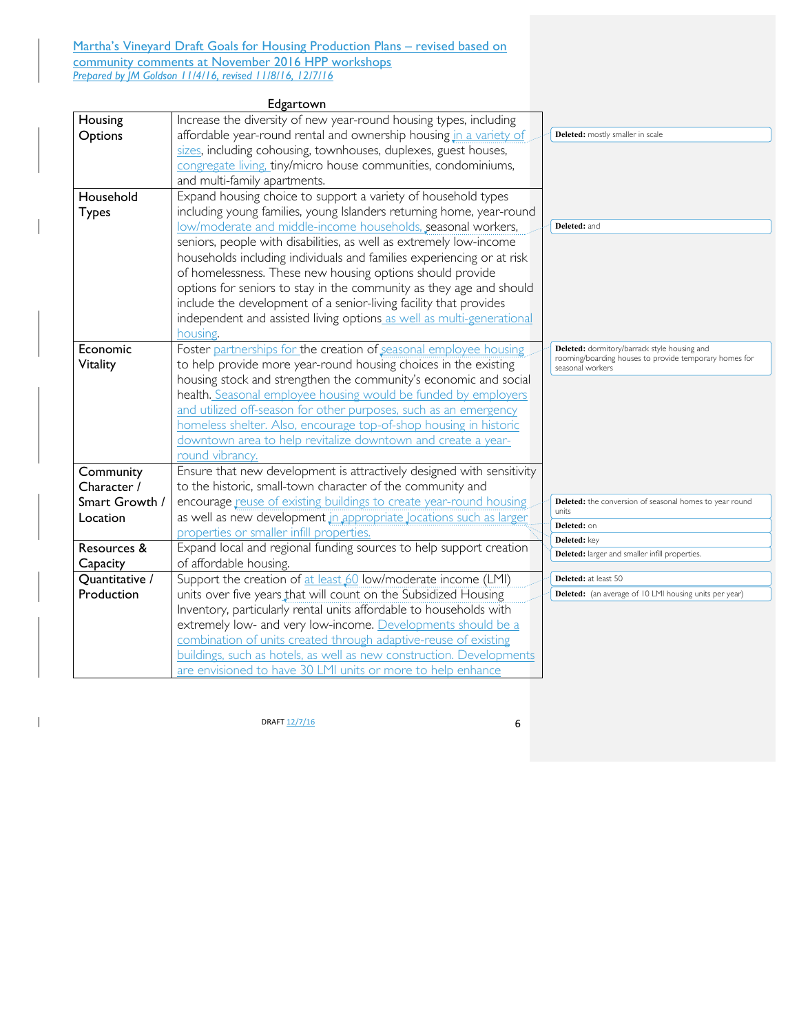Martha's Vineyard Draft Goals for Housing Production Plans - revised based on community comments at November 2016 HPP workshops *Prepared by JM Goldson 11/4/16, revised 11/8/16, 12/7/16*

| Increase the diversity of new year-round housing types, including<br>Housing<br>affordable year-round rental and ownership housing in a variety of<br>Options<br>Deleted: mostly smaller in scale<br>sizes, including cohousing, townhouses, duplexes, guest houses,<br>congregate living, tiny/micro house communities, condominiums,<br>and multi-family apartments.<br>Household<br>Expand housing choice to support a variety of household types<br>including young families, young Islanders returning home, year-round<br><b>Types</b><br>low/moderate and middle-income households, seasonal workers,<br>Deleted: and<br>seniors, people with disabilities, as well as extremely low-income<br>households including individuals and families experiencing or at risk<br>of homelessness. These new housing options should provide |
|------------------------------------------------------------------------------------------------------------------------------------------------------------------------------------------------------------------------------------------------------------------------------------------------------------------------------------------------------------------------------------------------------------------------------------------------------------------------------------------------------------------------------------------------------------------------------------------------------------------------------------------------------------------------------------------------------------------------------------------------------------------------------------------------------------------------------------------|
|                                                                                                                                                                                                                                                                                                                                                                                                                                                                                                                                                                                                                                                                                                                                                                                                                                          |
|                                                                                                                                                                                                                                                                                                                                                                                                                                                                                                                                                                                                                                                                                                                                                                                                                                          |
|                                                                                                                                                                                                                                                                                                                                                                                                                                                                                                                                                                                                                                                                                                                                                                                                                                          |
|                                                                                                                                                                                                                                                                                                                                                                                                                                                                                                                                                                                                                                                                                                                                                                                                                                          |
|                                                                                                                                                                                                                                                                                                                                                                                                                                                                                                                                                                                                                                                                                                                                                                                                                                          |
|                                                                                                                                                                                                                                                                                                                                                                                                                                                                                                                                                                                                                                                                                                                                                                                                                                          |
|                                                                                                                                                                                                                                                                                                                                                                                                                                                                                                                                                                                                                                                                                                                                                                                                                                          |
|                                                                                                                                                                                                                                                                                                                                                                                                                                                                                                                                                                                                                                                                                                                                                                                                                                          |
|                                                                                                                                                                                                                                                                                                                                                                                                                                                                                                                                                                                                                                                                                                                                                                                                                                          |
|                                                                                                                                                                                                                                                                                                                                                                                                                                                                                                                                                                                                                                                                                                                                                                                                                                          |
|                                                                                                                                                                                                                                                                                                                                                                                                                                                                                                                                                                                                                                                                                                                                                                                                                                          |
| options for seniors to stay in the community as they age and should                                                                                                                                                                                                                                                                                                                                                                                                                                                                                                                                                                                                                                                                                                                                                                      |
| include the development of a senior-living facility that provides                                                                                                                                                                                                                                                                                                                                                                                                                                                                                                                                                                                                                                                                                                                                                                        |
| independent and assisted living options as well as multi-generational                                                                                                                                                                                                                                                                                                                                                                                                                                                                                                                                                                                                                                                                                                                                                                    |
| housing.                                                                                                                                                                                                                                                                                                                                                                                                                                                                                                                                                                                                                                                                                                                                                                                                                                 |
| Foster partnerships for the creation of seasonal employee housing<br>Economic<br><b>Deleted:</b> dormitory/barrack style housing and<br>rooming/boarding houses to provide temporary homes for                                                                                                                                                                                                                                                                                                                                                                                                                                                                                                                                                                                                                                           |
| to help provide more year-round housing choices in the existing<br>Vitality<br>seasonal workers                                                                                                                                                                                                                                                                                                                                                                                                                                                                                                                                                                                                                                                                                                                                          |
| housing stock and strengthen the community's economic and social                                                                                                                                                                                                                                                                                                                                                                                                                                                                                                                                                                                                                                                                                                                                                                         |
| health. Seasonal employee housing would be funded by employers                                                                                                                                                                                                                                                                                                                                                                                                                                                                                                                                                                                                                                                                                                                                                                           |
| and utilized off-season for other purposes, such as an emergency                                                                                                                                                                                                                                                                                                                                                                                                                                                                                                                                                                                                                                                                                                                                                                         |
| homeless shelter. Also, encourage top-of-shop housing in historic                                                                                                                                                                                                                                                                                                                                                                                                                                                                                                                                                                                                                                                                                                                                                                        |
| downtown area to help revitalize downtown and create a year-                                                                                                                                                                                                                                                                                                                                                                                                                                                                                                                                                                                                                                                                                                                                                                             |
| round vibrancy.                                                                                                                                                                                                                                                                                                                                                                                                                                                                                                                                                                                                                                                                                                                                                                                                                          |
| Ensure that new development is attractively designed with sensitivity<br>Community                                                                                                                                                                                                                                                                                                                                                                                                                                                                                                                                                                                                                                                                                                                                                       |
| Character /<br>to the historic, small-town character of the community and                                                                                                                                                                                                                                                                                                                                                                                                                                                                                                                                                                                                                                                                                                                                                                |
| Smart Growth /<br>encourage reuse of existing buildings to create year-round housing<br><b>Deleted:</b> the conversion of seasonal homes to year round<br>units<br>as well as new development in appropriate Jocations such as larger<br>Location                                                                                                                                                                                                                                                                                                                                                                                                                                                                                                                                                                                        |
| Deleted: on<br>properties or smaller infill properties.                                                                                                                                                                                                                                                                                                                                                                                                                                                                                                                                                                                                                                                                                                                                                                                  |
| Deleted: key<br>Expand local and regional funding sources to help support creation<br>Resources &                                                                                                                                                                                                                                                                                                                                                                                                                                                                                                                                                                                                                                                                                                                                        |
| Deleted: larger and smaller infill properties.<br>of affordable housing.                                                                                                                                                                                                                                                                                                                                                                                                                                                                                                                                                                                                                                                                                                                                                                 |
| Capacity<br>Support the creation of at least 60 low/moderate income (LMI)<br>Quantitative /<br><b>Deleted:</b> at least 50                                                                                                                                                                                                                                                                                                                                                                                                                                                                                                                                                                                                                                                                                                               |
| units over five years that will count on the Subsidized Housing<br>Production<br><b>Deleted:</b> (an average of 10 LMI housing units per year)                                                                                                                                                                                                                                                                                                                                                                                                                                                                                                                                                                                                                                                                                           |
| Inventory, particularly rental units affordable to households with                                                                                                                                                                                                                                                                                                                                                                                                                                                                                                                                                                                                                                                                                                                                                                       |
| extremely low- and very low-income. Developments should be a                                                                                                                                                                                                                                                                                                                                                                                                                                                                                                                                                                                                                                                                                                                                                                             |
| combination of units created through adaptive-reuse of existing                                                                                                                                                                                                                                                                                                                                                                                                                                                                                                                                                                                                                                                                                                                                                                          |
| buildings, such as hotels, as well as new construction. Developments                                                                                                                                                                                                                                                                                                                                                                                                                                                                                                                                                                                                                                                                                                                                                                     |
| are envisioned to have 30 LMI units or more to help enhance                                                                                                                                                                                                                                                                                                                                                                                                                                                                                                                                                                                                                                                                                                                                                                              |

 $\frac{12/7}{16}$  6

 $\mathbf{I}$